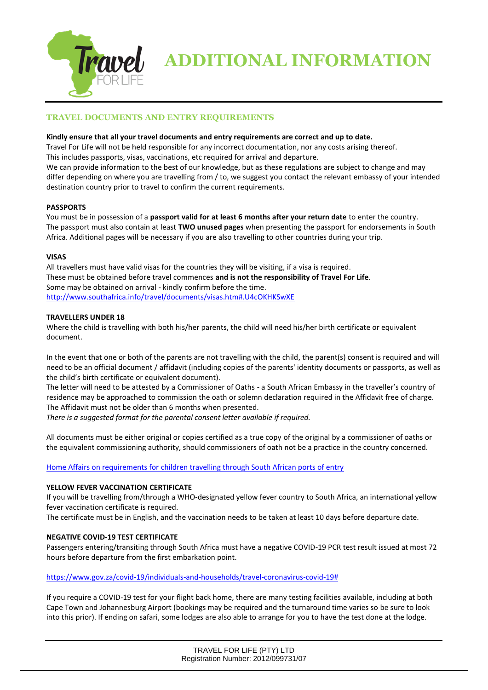

# **TRAVEL DOCUMENTS AND ENTRY REQUIREMENTS**

## **Kindly ensure that all your travel documents and entry requirements are correct and up to date.**

Travel For Life will not be held responsible for any incorrect documentation, nor any costs arising thereof.

This includes passports, visas, vaccinations, etc required for arrival and departure.

We can provide information to the best of our knowledge, but as these regulations are subject to change and may differ depending on where you are travelling from / to, we suggest you contact the relevant embassy of your intended destination country prior to travel to confirm the current requirements.

# **PASSPORTS**

You must be in possession of a **passport valid for at least 6 months after your return date** to enter the country. The passport must also contain at least **TWO unused pages** when presenting the passport for endorsements in South Africa. Additional pages will be necessary if you are also travelling to other countries during your trip.

## **VISAS**

All travellers must have valid visas for the countries they will be visiting, if a visa is required. These must be obtained before travel commences **and is not the responsibility of Travel For Life**. Some may be obtained on arrival - kindly confirm before the time. <http://www.southafrica.info/travel/documents/visas.htm#.U4cOKHKSwXE>

## **TRAVELLERS UNDER 18**

Where the child is travelling with both his/her parents, the child will need his/her birth certificate or equivalent document.

In the event that one or both of the parents are not travelling with the child, the parent(s) consent is required and will need to be an official document / affidavit (including copies of the parents' identity documents or passports, as well as the child's birth certificate or equivalent document).

The letter will need to be attested by a Commissioner of Oaths - a South African Embassy in the traveller's country of residence may be approached to commission the oath or solemn declaration required in the Affidavit free of charge. The Affidavit must not be older than 6 months when presented.

*There is a suggested format for the parental consent letter available if required.*

All documents must be either original or copies certified as a true copy of the original by a commissioner of oaths or the equivalent commissioning authority, should commissioners of oath not be a practice in the country concerned.

Home Affairs on requirements for [children travelling through South African ports of entry](https://www.gov.za/speeches/home-affairs-requirements-children-travelling-through-south-african-ports-entry-%C2%A0-1-dec)

# **YELLOW FEVER VACCINATION CERTIFICATE**

If you will be travelling from/through a WHO-designated yellow fever country to South Africa, an international yellow fever vaccination certificate is required.

The certificate must be in English, and the vaccination needs to be taken at least 10 days before departure date.

# **NEGATIVE COVID-19 TEST CERTIFICATE**

Passengers entering/transiting through South Africa must have a negative COVID-19 PCR test result issued at most 72 hours before departure from the first embarkation point.

## [https://www.gov.za/covid-19/individuals-and-households/travel-coronavirus-covid-19#](https://www.gov.za/covid-19/individuals-and-households/travel-coronavirus-covid-19)

If you require a COVID-19 test for your flight back home, there are many testing facilities available, including at both Cape Town and Johannesburg Airport (bookings may be required and the turnaround time varies so be sure to look into this prior). If ending on safari, some lodges are also able to arrange for you to have the test done at the lodge.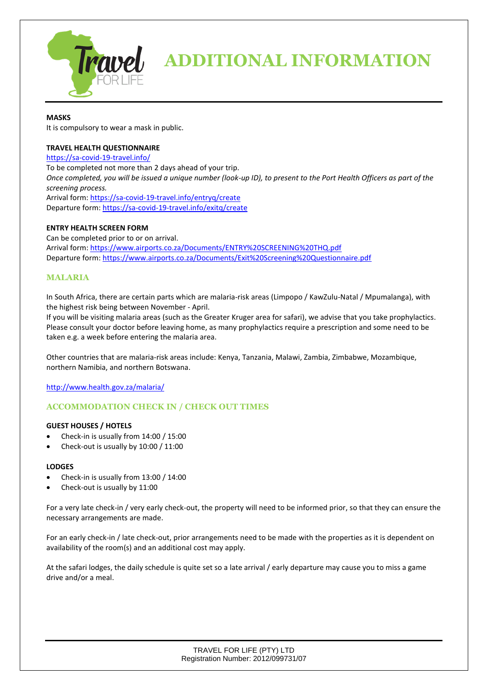

## **MASKS**

It is compulsory to wear a mask in public.

## **TRAVEL HEALTH QUESTIONNAIRE**

<https://sa-covid-19-travel.info/> To be completed not more than 2 days ahead of your trip. *Once completed, you will be issued a unique number (look-up ID), to present to the Port Health Officers as part of the screening process.* Arrival form:<https://sa-covid-19-travel.info/entryq/create> Departure form:<https://sa-covid-19-travel.info/exitq/create>

## **ENTRY HEALTH SCREEN FORM**

Can be completed prior to or on arrival. Arrival form:<https://www.airports.co.za/Documents/ENTRY%20SCREENING%20THQ.pdf> Departure form:<https://www.airports.co.za/Documents/Exit%20Screening%20Questionnaire.pdf>

# **MALARIA**

In South Africa, there are certain parts which are malaria-risk areas (Limpopo / KawZulu-Natal / Mpumalanga), with the highest risk being between November - April.

If you will be visiting malaria areas (such as the Greater Kruger area for safari), we advise that you take prophylactics. Please consult your doctor before leaving home, as many prophylactics require a prescription and some need to be taken e.g. a week before entering the malaria area.

Other countries that are malaria-risk areas include: Kenya, Tanzania, Malawi, Zambia, Zimbabwe, Mozambique, northern Namibia, and northern Botswana.

<http://www.health.gov.za/malaria/>

# **ACCOMMODATION CHECK IN / CHECK OUT TIMES**

### **GUEST HOUSES / HOTELS**

- Check-in is usually from 14:00 / 15:00
- Check-out is usually by 10:00 / 11:00

### **LODGES**

- Check-in is usually from 13:00 / 14:00
- Check-out is usually by 11:00

For a very late check-in / very early check-out, the property will need to be informed prior, so that they can ensure the necessary arrangements are made.

For an early check-in / late check-out, prior arrangements need to be made with the properties as it is dependent on availability of the room(s) and an additional cost may apply.

At the safari lodges, the daily schedule is quite set so a late arrival / early departure may cause you to miss a game drive and/or a meal.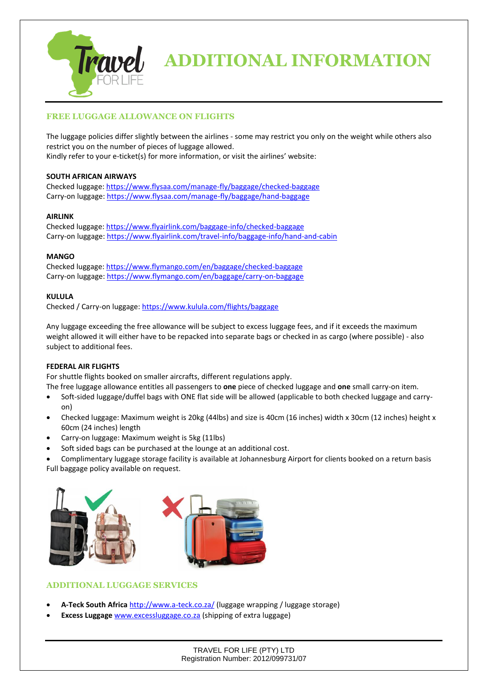

# **FREE LUGGAGE ALLOWANCE ON FLIGHTS**

The luggage policies differ slightly between the airlines - some may restrict you only on the weight while others also restrict you on the number of pieces of luggage allowed. Kindly refer to your e-ticket(s) for more information, or visit the airlines' website:

## **SOUTH AFRICAN AIRWAYS**

Checked luggage: <https://www.flysaa.com/manage-fly/baggage/checked-baggage> Carry-on luggage: <https://www.flysaa.com/manage-fly/baggage/hand-baggage>

## **AIRLINK**

Checked luggage:<https://www.flyairlink.com/baggage-info/checked-baggage> Carry-on luggage[: https://www.flyairlink.com/travel-info/baggage-info/hand-and-cabin](https://www.flyairlink.com/travel-info/baggage-info/hand-and-cabin)

## **MANGO**

Checked luggage: <https://www.flymango.com/en/baggage/checked-baggage> Carry-on luggage: <https://www.flymango.com/en/baggage/carry-on-baggage>

## **KULULA**

Checked / Carry-on luggage[: https://www.kulula.com/flights/baggage](https://www.kulula.com/flights/baggage)

Any luggage exceeding the free allowance will be subject to excess luggage fees, and if it exceeds the maximum weight allowed it will either have to be repacked into separate bags or checked in as cargo (where possible) - also subject to additional fees.

### **FEDERAL AIR FLIGHTS**

For shuttle flights booked on smaller aircrafts, different regulations apply.

- The free luggage allowance entitles all passengers to **one** piece of checked luggage and **one** small carry-on item.
- Soft-sided luggage/duffel bags with ONE flat side will be allowed (applicable to both checked luggage and carryon)
- Checked luggage: Maximum weight is 20kg (44lbs) and size is 40cm (16 inches) width x 30cm (12 inches) height x 60cm (24 inches) length
- Carry-on luggage: Maximum weight is 5kg (11lbs)
- Soft sided bags can be purchased at the lounge at an additional cost.

• Complimentary luggage storage facility is available at Johannesburg Airport for clients booked on a return basis Full baggage policy available on request.



# **ADDITIONAL LUGGAGE SERVICES**

- **A-Teck South Africa** <http://www.a-teck.co.za/> (luggage wrapping / luggage storage)
- **Excess Luggage** [www.excessluggage.co.za](http://www.excessluggage.co.za/) (shipping of extra luggage)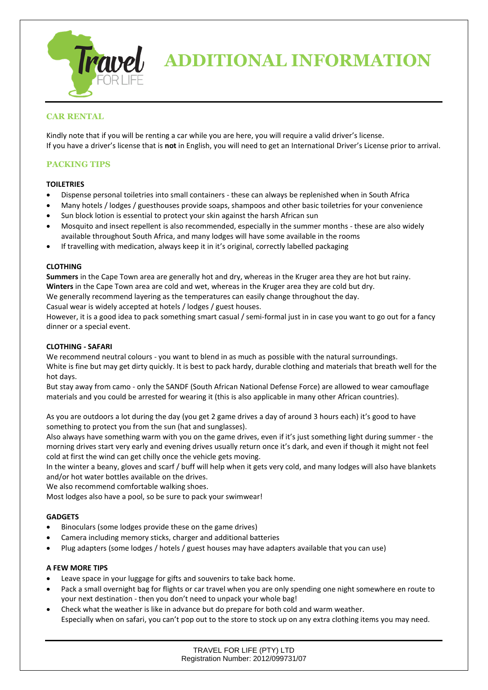

# **CAR RENTAL**

Kindly note that if you will be renting a car while you are here, you will require a valid driver's license. If you have a driver's license that is **not** in English, you will need to get an International Driver's License prior to arrival.

# **PACKING TIPS**

## **TOILETRIES**

- Dispense personal toiletries into small containers these can always be replenished when in South Africa
- Many hotels / lodges / guesthouses provide soaps, shampoos and other basic toiletries for your convenience
- Sun block lotion is essential to protect your skin against the harsh African sun
- Mosquito and insect repellent is also recommended, especially in the summer months these are also widely available throughout South Africa, and many lodges will have some available in the rooms
- If travelling with medication, always keep it in it's original, correctly labelled packaging

### **CLOTHING**

**Summers** in the Cape Town area are generally hot and dry, whereas in the Kruger area they are hot but rainy. **Winters** in the Cape Town area are cold and wet, whereas in the Kruger area they are cold but dry.

We generally recommend layering as the temperatures can easily change throughout the day.

Casual wear is widely accepted at hotels / lodges / guest houses.

However, it is a good idea to pack something smart casual / semi-formal just in in case you want to go out for a fancy dinner or a special event.

## **CLOTHING - SAFARI**

We recommend neutral colours - you want to blend in as much as possible with the natural surroundings. White is fine but may get dirty quickly. It is best to pack hardy, durable clothing and materials that breath well for the hot days.

But stay away from camo - only the SANDF (South African National Defense Force) are allowed to wear camouflage materials and you could be arrested for wearing it (this is also applicable in many other African countries).

As you are outdoors a lot during the day (you get 2 game drives a day of around 3 hours each) it's good to have something to protect you from the sun (hat and sunglasses).

Also always have something warm with you on the game drives, even if it's just something light during summer - the morning drives start very early and evening drives usually return once it's dark, and even if though it might not feel cold at first the wind can get chilly once the vehicle gets moving.

In the winter a beany, gloves and scarf / buff will help when it gets very cold, and many lodges will also have blankets and/or hot water bottles available on the drives.

We also recommend comfortable walking shoes.

Most lodges also have a pool, so be sure to pack your swimwear!

### **GADGETS**

- Binoculars (some lodges provide these on the game drives)
- Camera including memory sticks, charger and additional batteries
- Plug adapters (some lodges / hotels / guest houses may have adapters available that you can use)

### **A FEW MORE TIPS**

- Leave space in your luggage for gifts and souvenirs to take back home.
- Pack a small overnight bag for flights or car travel when you are only spending one night somewhere en route to your next destination - then you don't need to unpack your whole bag!
- Check what the weather is like in advance but do prepare for both cold and warm weather. Especially when on safari, you can't pop out to the store to stock up on any extra clothing items you may need.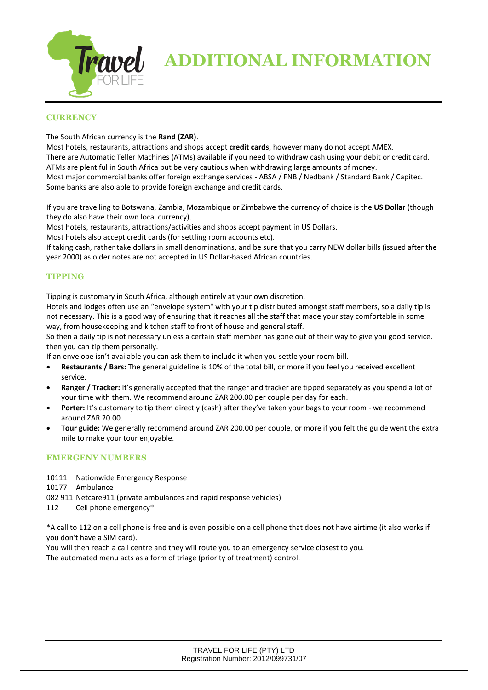

# **CURRENCY**

## The South African currency is the **Rand (ZAR)**.

Most hotels, restaurants, attractions and shops accept **credit cards**, however many do not accept AMEX. There are Automatic Teller Machines (ATMs) available if you need to withdraw cash using your debit or credit card. ATMs are plentiful in South Africa but be very cautious when withdrawing large amounts of money. Most major commercial banks offer foreign exchange services - ABSA / FNB / Nedbank / Standard Bank / Capitec. Some banks are also able to provide foreign exchange and credit cards.

If you are travelling to Botswana, Zambia, Mozambique or Zimbabwe the currency of choice is the **US Dollar** (though they do also have their own local currency).

Most hotels, restaurants, attractions/activities and shops accept payment in US Dollars.

Most hotels also accept credit cards (for settling room accounts etc).

If taking cash, rather take dollars in small denominations, and be sure that you carry NEW dollar bills (issued after the year 2000) as older notes are not accepted in US Dollar-based African countries.

# **TIPPING**

Tipping is customary in South Africa, although entirely at your own discretion.

Hotels and lodges often use an "envelope system" with your tip distributed amongst staff members, so a daily tip is not necessary. This is a good way of ensuring that it reaches all the staff that made your stay comfortable in some way, from housekeeping and kitchen staff to front of house and general staff.

So then a daily tip is not necessary unless a certain staff member has gone out of their way to give you good service, then you can tip them personally.

If an envelope isn't available you can ask them to include it when you settle your room bill.

- **Restaurants / Bars:** The general guideline is 10% of the total bill, or more if you feel you received excellent service.
- **Ranger / Tracker:** It's generally accepted that the ranger and tracker are tipped separately as you spend a lot of your time with them. We recommend around ZAR 200.00 per couple per day for each.
- Porter: It's customary to tip them directly (cash) after they've taken your bags to your room we recommend around ZAR 20.00.
- **Tour guide:** We generally recommend around ZAR 200.00 per couple, or more if you felt the guide went the extra mile to make your tour enjoyable.

# **EMERGENY NUMBERS**

10111 Nationwide Emergency Response

10177 Ambulance

- 082 911 Netcare911 (private ambulances and rapid response vehicles)
- 112 Cell phone emergency\*

\*A call to 112 on a cell phone is free and is even possible on a cell phone that does not have airtime (it also works if you don't have a SIM card).

You will then reach a call centre and they will route you to an emergency service closest to you. The automated menu acts as a form of triage (priority of treatment) control.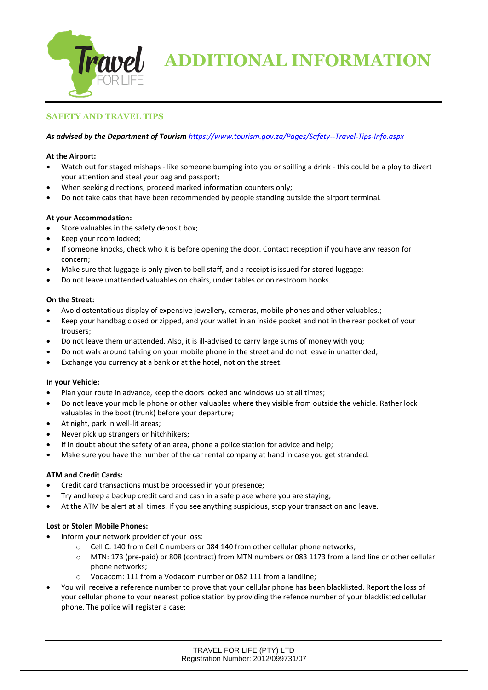

# **SAFETY AND TRAVEL TIPS**

## *As advised by the Department of Tourism <https://www.tourism.gov.za/Pages/Safety--Travel-Tips-Info.aspx>*

## **At the Airport:**

- Watch out for staged mishaps like someone bumping into you or spilling a drink this could be a ploy to divert your attention and steal your bag and passport;
- When seeking directions, proceed marked information counters only;
- Do not take cabs that have been recommended by people standing outside the airport terminal.

## **At your Accommodation:**

- Store valuables in the safety deposit box;
- Keep your room locked;
- If someone knocks, check who it is before opening the door. Contact reception if you have any reason for concern;
- Make sure that luggage is only given to bell staff, and a receipt is issued for stored luggage;
- Do not leave unattended valuables on chairs, under tables or on restroom hooks.

### **On the Street:**

- Avoid ostentatious display of expensive jewellery, cameras, mobile phones and other valuables.;
- Keep your handbag closed or zipped, and your wallet in an inside pocket and not in the rear pocket of your trousers;
- Do not leave them unattended. Also, it is ill-advised to carry large sums of money with you;
- Do not walk around talking on your mobile phone in the street and do not leave in unattended;
- Exchange you currency at a bank or at the hotel, not on the street.

### **In your Vehicle:**

- Plan your route in advance, keep the doors locked and windows up at all times;
- Do not leave your mobile phone or other valuables where they visible from outside the vehicle. Rather lock valuables in the boot (trunk) before your departure;
- At night, park in well-lit areas;
- Never pick up strangers or hitchhikers;
- If in doubt about the safety of an area, phone a police station for advice and help;
- Make sure you have the number of the car rental company at hand in case you get stranded.

### **ATM and Credit Cards:**

- Credit card transactions must be processed in your presence;
- Try and keep a backup credit card and cash in a safe place where you are staying;
- At the ATM be alert at all times. If you see anything suspicious, stop your transaction and leave.

### **Lost or Stolen Mobile Phones:**

- Inform your network provider of your loss:
	- o Cell C: 140 from Cell C numbers or 084 140 from other cellular phone networks;
	- o MTN: 173 (pre-paid) or 808 (contract) from MTN numbers or 083 1173 from a land line or other cellular phone networks;
	- o Vodacom: 111 from a Vodacom number or 082 111 from a landline;
- You will receive a reference number to prove that your cellular phone has been blacklisted. Report the loss of your cellular phone to your nearest police station by providing the refence number of your blacklisted cellular phone. The police will register a case;